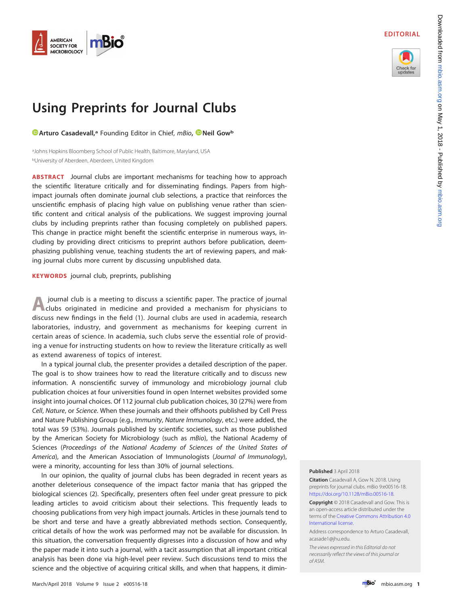





## **Using Preprints for Journal Clubs**

**[Arturo Casadevall,](https://orcid.org/0000-0002-9402-9167)a** Founding Editor in Chief, mBio**, [Neil Gowb](https://orcid.org/0000-0002-2776-5850)**

aJohns Hopkins Bloomberg School of Public Health, Baltimore, Maryland, USA <sup>b</sup>University of Aberdeen, Aberdeen, United Kingdom

**ABSTRACT** Journal clubs are important mechanisms for teaching how to approach the scientific literature critically and for disseminating findings. Papers from highimpact journals often dominate journal club selections, a practice that reinforces the unscientific emphasis of placing high value on publishing venue rather than scientific content and critical analysis of the publications. We suggest improving journal clubs by including preprints rather than focusing completely on published papers. This change in practice might benefit the scientific enterprise in numerous ways, including by providing direct criticisms to preprint authors before publication, deemphasizing publishing venue, teaching students the art of reviewing papers, and making journal clubs more current by discussing unpublished data.

**KEYWORDS** journal club, preprints, publishing

**A**journal club is a meeting to discuss a scientific paper. The practice of journal clubs originated in medicine and provided a mechanism for physicians to discuss new findings in the field [\(1\)](#page-2-0). Journal clubs are used in academia, research laboratories, industry, and government as mechanisms for keeping current in certain areas of science. In academia, such clubs serve the essential role of providing a venue for instructing students on how to review the literature critically as well as extend awareness of topics of interest.

In a typical journal club, the presenter provides a detailed description of the paper. The goal is to show trainees how to read the literature critically and to discuss new information. A nonscientific survey of immunology and microbiology journal club publication choices at four universities found in open Internet websites provided some insight into journal choices. Of 112 journal club publication choices, 30 (27%) were from Cell, Nature, or Science. When these journals and their offshoots published by Cell Press and Nature Publishing Group (e.g., Immunity, Nature Immunology, etc.) were added, the total was 59 (53%). Journals published by scientific societies, such as those published by the American Society for Microbiology (such as *mBio*), the National Academy of Sciences (Proceedings of the National Academy of Sciences of the United States of America), and the American Association of Immunologists (Journal of Immunology), were a minority, accounting for less than 30% of journal selections.

In our opinion, the quality of journal clubs has been degraded in recent years as another deleterious consequence of the impact factor mania that has gripped the biological sciences [\(2\)](#page-2-1). Specifically, presenters often feel under great pressure to pick leading articles to avoid criticism about their selections. This frequently leads to choosing publications from very high impact journals. Articles in these journals tend to be short and terse and have a greatly abbreviated methods section. Consequently, critical details of how the work was performed may not be available for discussion. In this situation, the conversation frequently digresses into a discussion of how and why the paper made it into such a journal, with a tacit assumption that all important critical analysis has been done via high-level peer review. Such discussions tend to miss the science and the objective of acquiring critical skills, and when that happens, it dimin**Published** 3 April 2018

**Citation** Casadevall A, Gow N. 2018. Using preprints for journal clubs. mBio 9:e00516-18. [https://doi.org/10.1128/mBio.00516-18.](https://doi.org/10.1128/mBio.00516-18)

**Copyright** © 2018 Casadevall and Gow. This is an open-access article distributed under the terms of the [Creative Commons Attribution 4.0](https://creativecommons.org/licenses/by/4.0/) [International](https://creativecommons.org/licenses/by/4.0/) license.

Address correspondence to Arturo Casadevall, [acasade1@jhu.edu.](mailto:acasade1@jhu.edu)

The views expressed in this Editorial do not necessarily reflect the views of this journal or of ASM.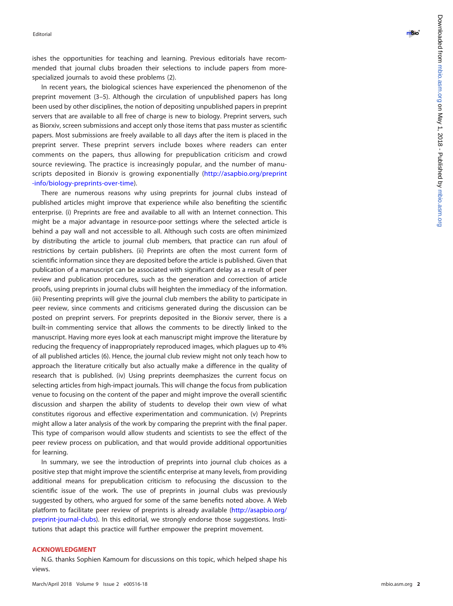ishes the opportunities for teaching and learning. Previous editorials have recommended that journal clubs broaden their selections to include papers from morespecialized journals to avoid these problems [\(2\)](#page-2-1).

In recent years, the biological sciences have experienced the phenomenon of the preprint movement [\(3](#page-2-2)[–](#page-2-3)[5\)](#page-2-4). Although the circulation of unpublished papers has long been used by other disciplines, the notion of depositing unpublished papers in preprint servers that are available to all free of charge is new to biology. Preprint servers, such as Biorxiv, screen submissions and accept only those items that pass muster as scientific papers. Most submissions are freely available to all days after the item is placed in the preprint server. These preprint servers include boxes where readers can enter comments on the papers, thus allowing for prepublication criticism and crowd source reviewing. The practice is increasingly popular, and the number of manuscripts deposited in Biorxiv is growing exponentially [\(http://asapbio.org/preprint](http://asapbio.org/preprint-info/biology-preprints-over-time) [-info/biology-preprints-over-time\)](http://asapbio.org/preprint-info/biology-preprints-over-time).

There are numerous reasons why using preprints for journal clubs instead of published articles might improve that experience while also benefiting the scientific enterprise. (i) Preprints are free and available to all with an Internet connection. This might be a major advantage in resource-poor settings where the selected article is behind a pay wall and not accessible to all. Although such costs are often minimized by distributing the article to journal club members, that practice can run afoul of restrictions by certain publishers. (ii) Preprints are often the most current form of scientific information since they are deposited before the article is published. Given that publication of a manuscript can be associated with significant delay as a result of peer review and publication procedures, such as the generation and correction of article proofs, using preprints in journal clubs will heighten the immediacy of the information. (iii) Presenting preprints will give the journal club members the ability to participate in peer review, since comments and criticisms generated during the discussion can be posted on preprint servers. For preprints deposited in the Biorxiv server, there is a built-in commenting service that allows the comments to be directly linked to the manuscript. Having more eyes look at each manuscript might improve the literature by reducing the frequency of inappropriately reproduced images, which plagues up to 4% of all published articles ( [6\)](#page-2-5). Hence, the journal club review might not only teach how to approach the literature critically but also actually make a difference in the quality of research that is published. (iv) Using preprints deemphasizes the current focus on selecting articles from high-impact journals. This will change the focus from publication venue to focusing on the content of the paper and might improve the overall scientific discussion and sharpen the ability of students to develop their own view of what constitutes rigorous and effective experimentation and communication. (v) Preprints might allow a later analysis of the work by comparing the preprint with the final paper. This type of comparison would allow students and scientists to see the effect of the peer review process on publication, and that would provide additional opportunities for learning.

In summary, we see the introduction of preprints into journal club choices as a positive step that might improve the scientific enterprise at many levels, from providing additional means for prepublication criticism to refocusing the discussion to the scientific issue of the work. The use of preprints in journal clubs was previously suggested by others, who argued for some of the same benefits noted above. A Web platform to facilitate peer review of preprints is already available [\(http://asapbio.org/](http://asapbio.org/preprint-journal-clubs) [preprint-journal-clubs\)](http://asapbio.org/preprint-journal-clubs). In this editorial, we strongly endorse those suggestions. Institutions that adapt this practice will further empower the preprint movement.

## **ACKNOWLEDGMENT**

N.G. thanks Sophien Kamoum for discussions on this topic, which helped shape his views.